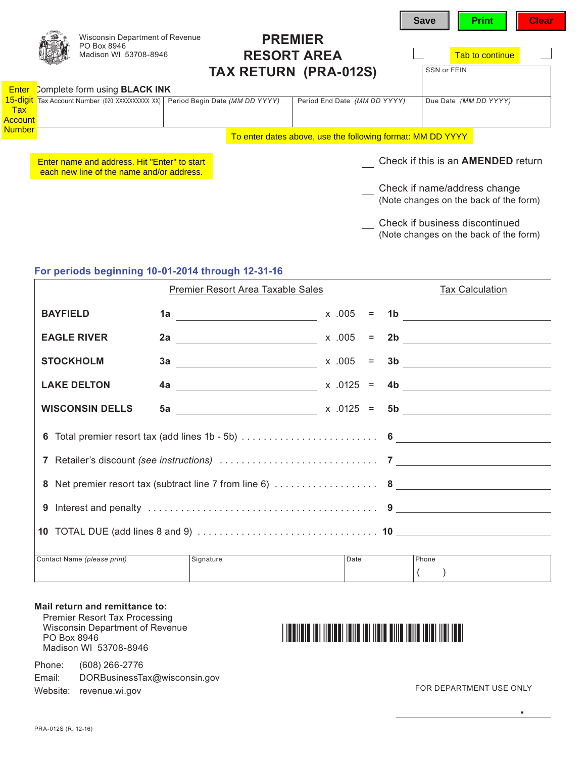|                                    | Wisconsin Department of Revenue<br>PO Box 8946<br>Madison WI 53708-8946                   |                                | <b>PREMIER</b><br><b>RESORT AREA</b><br><b>TAX RETURN (PRA-012S)</b> | <b>Save</b><br>SSN or FEIN | <b>Print</b><br>Tab to continue                                          | <b>Clear</b> |
|------------------------------------|-------------------------------------------------------------------------------------------|--------------------------------|----------------------------------------------------------------------|----------------------------|--------------------------------------------------------------------------|--------------|
| <b>Enter</b>                       | Complete form using <b>BLACK INK</b>                                                      |                                |                                                                      |                            |                                                                          |              |
| 15-digit<br><b>Tax</b><br>Account_ | Tax Account Number (020 XXXXXXXXX XX)                                                     | Period Begin Date (MM DD YYYY) | Period End Date (MM DD YYYY)                                         |                            | Due Date (MM DD YYYY)                                                    |              |
| <b>Number</b>                      |                                                                                           |                                | To enter dates above, use the following format: MM DD YYYY           |                            |                                                                          |              |
|                                    | Enter name and address. Hit "Enter" to start<br>each new line of the name and/or address. |                                |                                                                      |                            | Check if this is an <b>AMENDED</b> return                                |              |
|                                    |                                                                                           |                                |                                                                      |                            | Check if name/address change<br>(Note changes on the back of the form)   |              |
|                                    |                                                                                           |                                |                                                                      |                            | Check if business discontinued<br>(Note changes on the back of the form) |              |

# **For periods beginning 10-01-2014 through 12-31-16**

|                             | Premier Resort Area Taxable Sales |      | <b>Tax Calculation</b> |  |
|-----------------------------|-----------------------------------|------|------------------------|--|
| <b>BAYFIELD</b>             |                                   |      |                        |  |
| <b>EAGLE RIVER</b>          |                                   |      | 2b                     |  |
| <b>STOCKHOLM</b>            | $3a$ x .005 =                     |      | 3b                     |  |
| <b>LAKE DELTON</b>          |                                   |      |                        |  |
| <b>WISCONSIN DELLS</b>      |                                   |      |                        |  |
|                             |                                   |      |                        |  |
|                             |                                   |      |                        |  |
|                             |                                   |      |                        |  |
|                             |                                   |      |                        |  |
|                             |                                   |      |                        |  |
| Contact Name (please print) | Signature                         | Date | Phone                  |  |

#### **Mail return and remittance to:**

Premier Resort Tax Processing Wisconsin Department of Revenue PO Box 8946 Madison WI 53708-8946

Phone: (608) 266-2776 Email: [DORBusinessTax@wisconsin.gov](https://ww2.revenue.wi.gov/Internet/dorhelp.html?subject=DORBusinessTax)

Website: [revenue.wi.gov](https://www.revenue.wi.gov)

# FOR DEPARTMENT USE ONLY

**.**